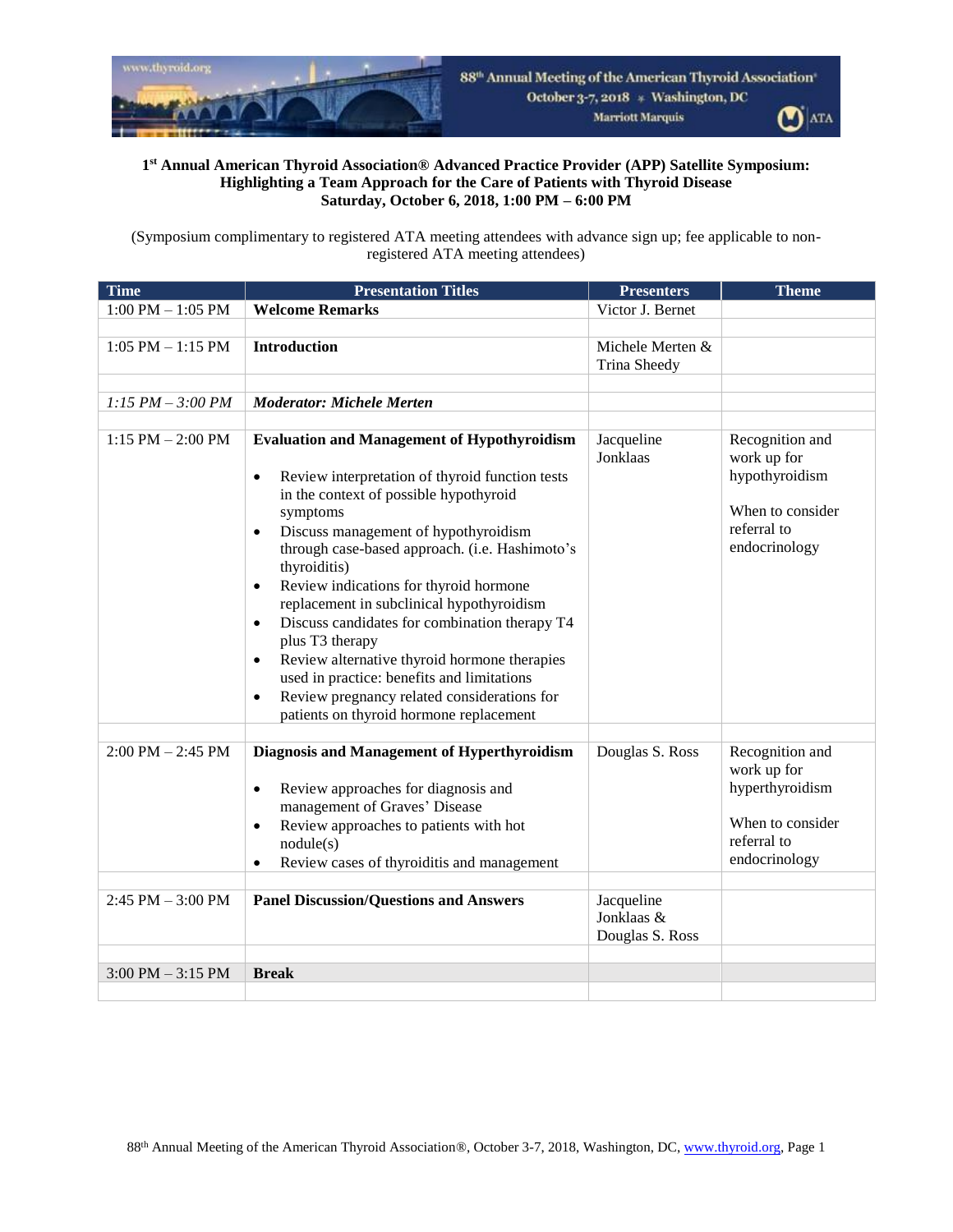

## **1 st Annual American Thyroid Association® Advanced Practice Provider (APP) Satellite Symposium: Highlighting a Team Approach for the Care of Patients with Thyroid Disease Saturday, October 6, 2018, 1:00 PM – 6:00 PM**

(Symposium complimentary to registered ATA meeting attendees with advance sign up; fee applicable to nonregistered ATA meeting attendees)

| <b>Time</b>                         | <b>Presentation Titles</b>                                                                                                                                                                                                                                                                                                                                                                                                                                                                                                                                                                                                                                                                             | <b>Presenters</b>                           | <b>Theme</b>                                                                                          |
|-------------------------------------|--------------------------------------------------------------------------------------------------------------------------------------------------------------------------------------------------------------------------------------------------------------------------------------------------------------------------------------------------------------------------------------------------------------------------------------------------------------------------------------------------------------------------------------------------------------------------------------------------------------------------------------------------------------------------------------------------------|---------------------------------------------|-------------------------------------------------------------------------------------------------------|
| $1:00$ PM $- 1:05$ PM               | <b>Welcome Remarks</b>                                                                                                                                                                                                                                                                                                                                                                                                                                                                                                                                                                                                                                                                                 | Victor J. Bernet                            |                                                                                                       |
|                                     |                                                                                                                                                                                                                                                                                                                                                                                                                                                                                                                                                                                                                                                                                                        |                                             |                                                                                                       |
| $1:05$ PM $-1:15$ PM                | <b>Introduction</b>                                                                                                                                                                                                                                                                                                                                                                                                                                                                                                                                                                                                                                                                                    | Michele Merten &<br>Trina Sheedy            |                                                                                                       |
|                                     |                                                                                                                                                                                                                                                                                                                                                                                                                                                                                                                                                                                                                                                                                                        |                                             |                                                                                                       |
| $1:15 PM - 3:00 PM$                 | <b>Moderator: Michele Merten</b>                                                                                                                                                                                                                                                                                                                                                                                                                                                                                                                                                                                                                                                                       |                                             |                                                                                                       |
|                                     |                                                                                                                                                                                                                                                                                                                                                                                                                                                                                                                                                                                                                                                                                                        |                                             |                                                                                                       |
| $1:15$ PM $- 2:00$ PM               | <b>Evaluation and Management of Hypothyroidism</b><br>Review interpretation of thyroid function tests<br>$\bullet$<br>in the context of possible hypothyroid<br>symptoms<br>Discuss management of hypothyroidism<br>$\bullet$<br>through case-based approach. (i.e. Hashimoto's<br>thyroiditis)<br>Review indications for thyroid hormone<br>$\bullet$<br>replacement in subclinical hypothyroidism<br>Discuss candidates for combination therapy T4<br>$\bullet$<br>plus T3 therapy<br>Review alternative thyroid hormone therapies<br>$\bullet$<br>used in practice: benefits and limitations<br>Review pregnancy related considerations for<br>$\bullet$<br>patients on thyroid hormone replacement | Jacqueline<br>Jonklaas                      | Recognition and<br>work up for<br>hypothyroidism<br>When to consider<br>referral to<br>endocrinology  |
|                                     |                                                                                                                                                                                                                                                                                                                                                                                                                                                                                                                                                                                                                                                                                                        |                                             |                                                                                                       |
| $2:00 \text{ PM} - 2:45 \text{ PM}$ | Diagnosis and Management of Hyperthyroidism<br>Review approaches for diagnosis and<br>$\bullet$<br>management of Graves' Disease<br>Review approaches to patients with hot<br>٠<br>nodule(s)<br>Review cases of thyroiditis and management<br>$\bullet$                                                                                                                                                                                                                                                                                                                                                                                                                                                | Douglas S. Ross                             | Recognition and<br>work up for<br>hyperthyroidism<br>When to consider<br>referral to<br>endocrinology |
|                                     |                                                                                                                                                                                                                                                                                                                                                                                                                                                                                                                                                                                                                                                                                                        |                                             |                                                                                                       |
| $2:45$ PM $-3:00$ PM                | <b>Panel Discussion/Questions and Answers</b>                                                                                                                                                                                                                                                                                                                                                                                                                                                                                                                                                                                                                                                          | Jacqueline<br>Jonklaas &<br>Douglas S. Ross |                                                                                                       |
|                                     |                                                                                                                                                                                                                                                                                                                                                                                                                                                                                                                                                                                                                                                                                                        |                                             |                                                                                                       |
| $3:00$ PM $-3:15$ PM                | <b>Break</b>                                                                                                                                                                                                                                                                                                                                                                                                                                                                                                                                                                                                                                                                                           |                                             |                                                                                                       |
|                                     |                                                                                                                                                                                                                                                                                                                                                                                                                                                                                                                                                                                                                                                                                                        |                                             |                                                                                                       |